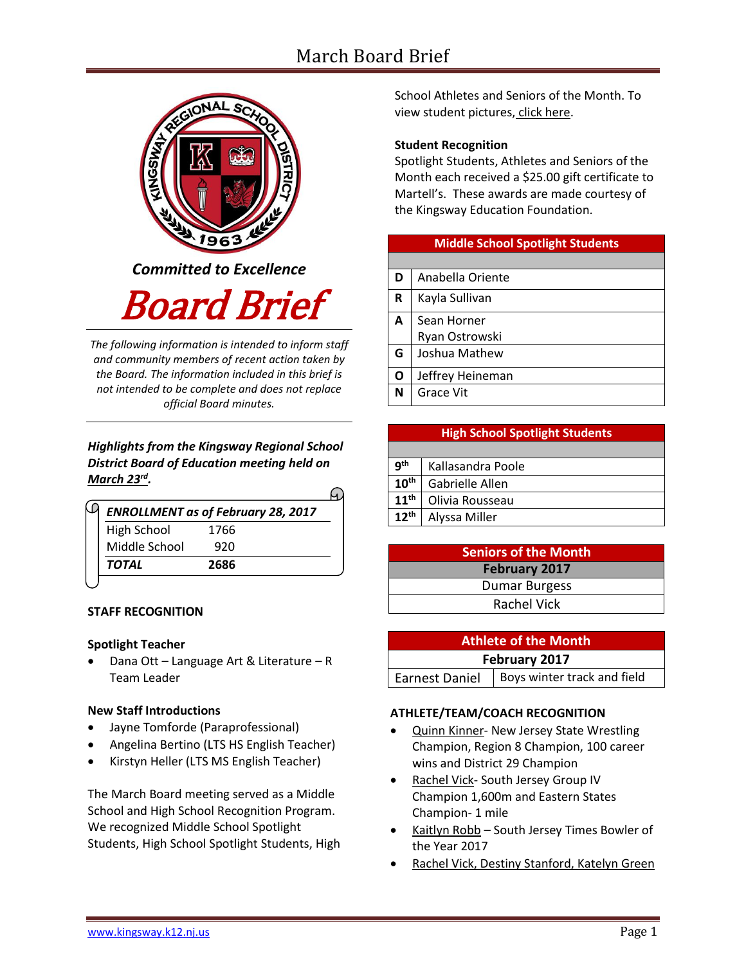# March Board Brief



*Committed to Excellence*

Board Brief

*The following information is intended to inform staff and community members of recent action taken by the Board. The information included in this brief is not intended to be complete and does not replace official Board minutes.*

# *Highlights from the Kingsway Regional School District Board of Education meeting held on March 23rd .*

| <b>ENROLLMENT as of February 28, 2017</b> |      |  |
|-------------------------------------------|------|--|
| High School                               | 1766 |  |
| Middle School                             | 920  |  |
| <b>TOTAL</b>                              | 2686 |  |

# **STAFF RECOGNITION**

#### **Spotlight Teacher**

 Dana Ott – Language Art & Literature – R Team Leader

# **New Staff Introductions**

- Jayne Tomforde (Paraprofessional)
- Angelina Bertino (LTS HS English Teacher)
- Kirstyn Heller (LTS MS English Teacher)

The March Board meeting served as a Middle School and High School Recognition Program. We recognized Middle School Spotlight Students, High School Spotlight Students, High School Athletes and Seniors of the Month. To view student pictures, [click here.](http://www.krsd.org/Page/1303)

# **Student Recognition**

Spotlight Students, Athletes and Seniors of the Month each received a \$25.00 gift certificate to Martell's. These awards are made courtesy of the Kingsway Education Foundation.

# **Middle School Spotlight Students**

| D | Anabella Oriente |
|---|------------------|
| R | Kayla Sullivan   |
| A | Sean Horner      |
|   | Ryan Ostrowski   |
| G | Joshua Mathew    |
| O | Jeffrey Heineman |
| N | Grace Vit        |
|   |                  |

| <b>g</b> th      | Kallasandra Poole |
|------------------|-------------------|
| $10^{\text{th}}$ | Gabrielle Allen   |
| $11^{\text{th}}$ | Olivia Rousseau   |
| $12^{\text{th}}$ | Alyssa Miller     |

**High School Spotlight Students**

| <b>Seniors of the Month</b> |  |  |
|-----------------------------|--|--|
| February 2017               |  |  |
| <b>Dumar Burgess</b>        |  |  |
| <b>Rachel Vick</b>          |  |  |

| <b>Athlete of the Month</b> |                             |  |  |  |
|-----------------------------|-----------------------------|--|--|--|
| February 2017               |                             |  |  |  |
| Earnest Daniel              | Boys winter track and field |  |  |  |

# **ATHLETE/TEAM/COACH RECOGNITION**

- Quinn Kinner- New Jersey State Wrestling Champion, Region 8 Champion, 100 career wins and District 29 Champion
- Rachel Vick- South Jersey Group IV Champion 1,600m and Eastern States Champion- 1 mile
- Kaitlyn Robb South Jersey Times Bowler of the Year 2017
- Rachel Vick, Destiny Stanford, Katelyn Green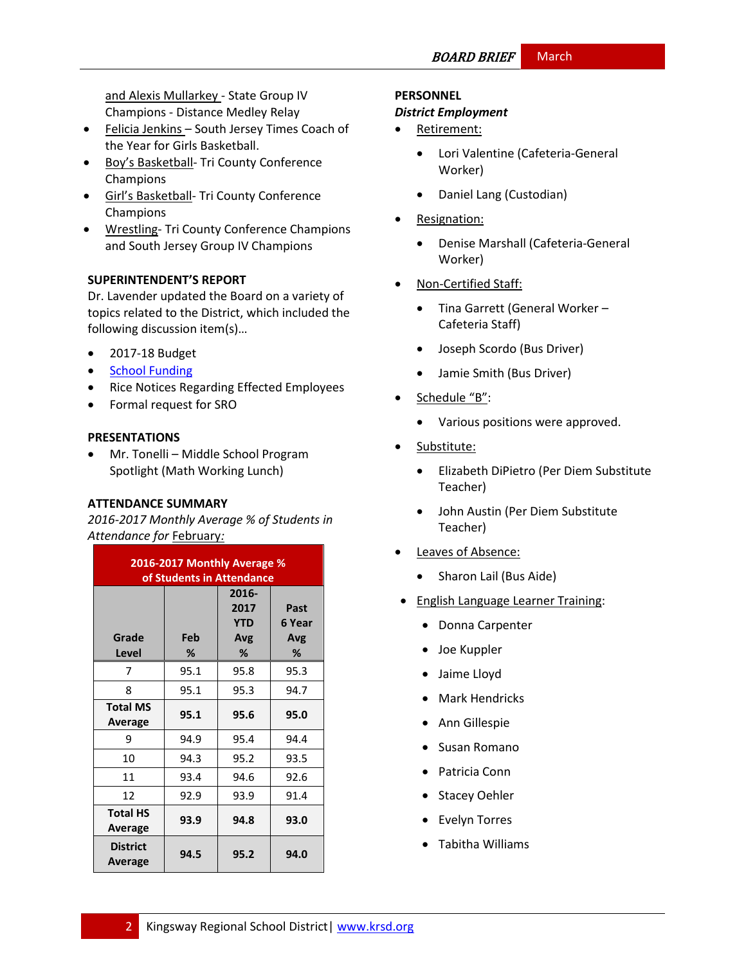and Alexis Mullarkey - State Group IV Champions - Distance Medley Relay

- Felicia Jenkins South Jersey Times Coach of the Year for Girls Basketball.
- Boy's Basketball- Tri County Conference Champions
- **•** Girl's Basketball- Tri County Conference Champions
- Wrestling- Tri County Conference Champions and South Jersey Group IV Champions

# **SUPERINTENDENT'S REPORT**

Dr. Lavender updated the Board on a variety of topics related to the District, which included the following discussion item(s)…

- 2017-18 Budget
- [School Funding](http://www.krsd.org/site/Default.aspx?PageID=1248)
- Rice Notices Regarding Effected Employees
- Formal request for SRO

#### **PRESENTATIONS**

 Mr. Tonelli – Middle School Program Spotlight (Math Working Lunch)

#### **ATTENDANCE SUMMARY**

*2016-2017 Monthly Average % of Students in Attendance for* February*:*

| 2016-2017 Monthly Average %<br>of Students in Attendance |          |                                         |                            |  |
|----------------------------------------------------------|----------|-----------------------------------------|----------------------------|--|
| Grade<br>Level                                           | Feb<br>℅ | 2016-<br>2017<br><b>YTD</b><br>Avg<br>% | Past<br>6 Year<br>Avg<br>% |  |
| 7                                                        | 95.1     | 95.8                                    | 95.3                       |  |
| 8                                                        | 95.1     | 95.3                                    | 94.7                       |  |
| <b>Total MS</b><br>Average                               | 95.1     | 95.6                                    | 95.0                       |  |
| 9                                                        | 94.9     | 95.4                                    | 94.4                       |  |
| 10                                                       | 94.3     | 95.2                                    | 93.5                       |  |
| 11                                                       | 93.4     | 94.6                                    | 92.6                       |  |
| 12                                                       | 92.9     | 93.9                                    | 91.4                       |  |
| <b>Total HS</b><br>Average                               | 93.9     | 94.8                                    | 93.0                       |  |
| <b>District</b><br>Average                               | 94.5     | 95.2                                    | 94.0                       |  |

## **PERSONNEL**

#### *District Employment*

- Retirement:
	- Lori Valentine (Cafeteria-General Worker)
	- Daniel Lang (Custodian)
- Resignation:
	- Denise Marshall (Cafeteria-General Worker)
- Non-Certified Staff:
	- Tina Garrett (General Worker Cafeteria Staff)
	- Joseph Scordo (Bus Driver)
	- Jamie Smith (Bus Driver)
- Schedule "B":
	- Various positions were approved.
- Substitute:
	- Elizabeth DiPietro (Per Diem Substitute Teacher)
	- John Austin (Per Diem Substitute Teacher)
- Leaves of Absence:
	- Sharon Lail (Bus Aide)
- **•** English Language Learner Training:
	- Donna Carpenter
	- Joe Kuppler
	- Jaime Lloyd
	- Mark Hendricks
	- Ann Gillespie
	- Susan Romano
	- Patricia Conn
	- Stacey Oehler
	- Evelyn Torres
	- Tabitha Williams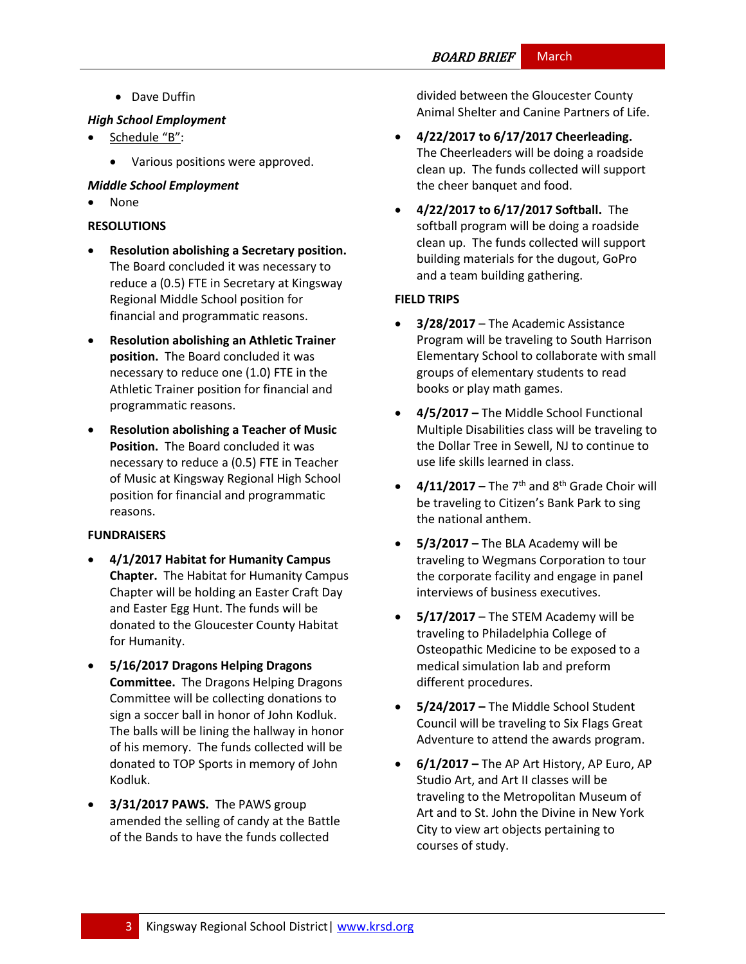# **BOARD BRIEF** March

• Dave Duffin

## *High School Employment*

- Schedule "B":
	- Various positions were approved.

# *Middle School Employment*

None

# **RESOLUTIONS**

- **Resolution abolishing a Secretary position.**  The Board concluded it was necessary to reduce a (0.5) FTE in Secretary at Kingsway Regional Middle School position for financial and programmatic reasons.
- **Resolution abolishing an Athletic Trainer position.** The Board concluded it was necessary to reduce one (1.0) FTE in the Athletic Trainer position for financial and programmatic reasons.
- **Resolution abolishing a Teacher of Music Position.** The Board concluded it was necessary to reduce a (0.5) FTE in Teacher of Music at Kingsway Regional High School position for financial and programmatic reasons.

# **FUNDRAISERS**

- **4/1/2017 Habitat for Humanity Campus Chapter.** The Habitat for Humanity Campus Chapter will be holding an Easter Craft Day and Easter Egg Hunt. The funds will be donated to the Gloucester County Habitat for Humanity.
- **5/16/2017 Dragons Helping Dragons Committee.** The Dragons Helping Dragons Committee will be collecting donations to sign a soccer ball in honor of John Kodluk. The balls will be lining the hallway in honor of his memory. The funds collected will be donated to TOP Sports in memory of John Kodluk.
- **3/31/2017 PAWS.** The PAWS group amended the selling of candy at the Battle of the Bands to have the funds collected

divided between the Gloucester County Animal Shelter and Canine Partners of Life.

- **4/22/2017 to 6/17/2017 Cheerleading.** The Cheerleaders will be doing a roadside clean up. The funds collected will support the cheer banquet and food.
- **4/22/2017 to 6/17/2017 Softball.** The softball program will be doing a roadside clean up. The funds collected will support building materials for the dugout, GoPro and a team building gathering.

# **FIELD TRIPS**

- **3/28/2017** The Academic Assistance Program will be traveling to South Harrison Elementary School to collaborate with small groups of elementary students to read books or play math games.
- **4/5/2017 –** The Middle School Functional Multiple Disabilities class will be traveling to the Dollar Tree in Sewell, NJ to continue to use life skills learned in class.
- **4/11/2017** The  $7<sup>th</sup>$  and  $8<sup>th</sup>$  Grade Choir will be traveling to Citizen's Bank Park to sing the national anthem.
- **5/3/2017 –** The BLA Academy will be traveling to Wegmans Corporation to tour the corporate facility and engage in panel interviews of business executives.
- **5/17/2017** The STEM Academy will be traveling to Philadelphia College of Osteopathic Medicine to be exposed to a medical simulation lab and preform different procedures.
- **5/24/2017 –** The Middle School Student Council will be traveling to Six Flags Great Adventure to attend the awards program.
- **6/1/2017 –** The AP Art History, AP Euro, AP Studio Art, and Art II classes will be traveling to the Metropolitan Museum of Art and to St. John the Divine in New York City to view art objects pertaining to courses of study.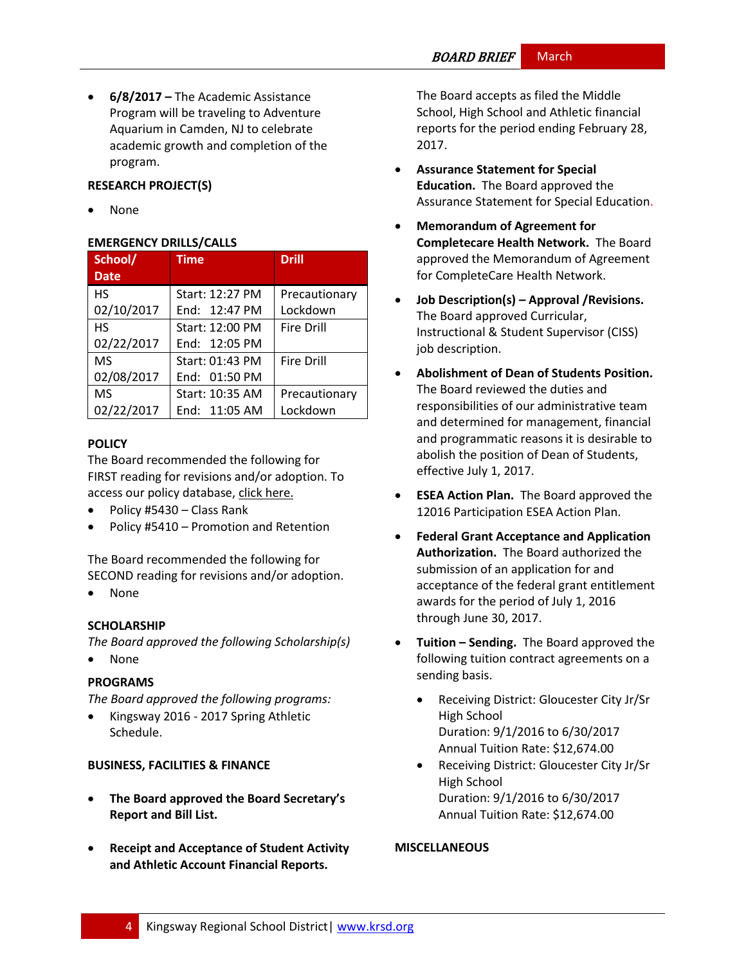**6/8/2017 –** The Academic Assistance Program will be traveling to Adventure Aquarium in Camden, NJ to celebrate academic growth and completion of the program.

# **RESEARCH PROJECT(S)**

None

#### **EMERGENCY DRILLS/CALLS**

| School/     | <b>Time</b>     | <b>Drill</b>      |
|-------------|-----------------|-------------------|
| <b>Date</b> |                 |                   |
| <b>HS</b>   | Start: 12:27 PM | Precautionary     |
| 02/10/2017  | End: 12:47 PM   | Lockdown          |
| <b>HS</b>   | Start: 12:00 PM | <b>Fire Drill</b> |
| 02/22/2017  | End: 12:05 PM   |                   |
| <b>MS</b>   | Start: 01:43 PM | <b>Fire Drill</b> |
| 02/08/2017  | End: 01:50 PM   |                   |
| <b>MS</b>   | Start: 10:35 AM | Precautionary     |
| 02/22/2017  | End: 11:05 AM   | Lockdown          |

# **[POLICY](http://www.straussesmay.com/seportal/Public/DistrictPolicyTOC.aspx?id=f0cc945ef3894b8d9ad5f87d948ca425&PolicyID=)**

The Board recommended the following for FIRST reading for revisions and/or adoption. To access our policy database, [click here.](http://www.straussesmay.com/seportal/Public/DistrictPolicyTOC.aspx?id=f0cc945ef3894b8d9ad5f87d948ca425&PolicyID=)

- Policy #5430 Class Rank
- Policy #5410 Promotion and Retention

The Board recommended the following for SECOND reading for revisions and/or adoption.

None

# **SCHOLARSHIP**

*The Board approved the following Scholarship(s)* 

• None

# **PROGRAMS**

*The Board approved the following programs:*

 Kingsway 2016 - 2017 Spring Athletic Schedule.

# **BUSINESS, FACILITIES & FINANCE**

- **The Board approved the Board Secretary's Report and Bill List.**
- **Receipt and Acceptance of Student Activity and Athletic Account Financial Reports.**

The Board accepts as filed the Middle School, High School and Athletic financial reports for the period ending February 28, 2017.

- **Assurance Statement for Special Education.** The Board approved the Assurance Statement for Special Education.
- **Memorandum of Agreement for Completecare Health Network.** The Board approved the Memorandum of Agreement for CompleteCare Health Network.
- **Job Description(s) – Approval /Revisions.**  The Board approved Curricular, Instructional & Student Supervisor (CISS) job description.
- **Abolishment of Dean of Students Position.**  The Board reviewed the duties and responsibilities of our administrative team and determined for management, financial and programmatic reasons it is desirable to abolish the position of Dean of Students, effective July 1, 2017.
- **ESEA Action Plan.** The Board approved the 12016 Participation ESEA Action Plan.
- **Federal Grant Acceptance and Application Authorization.** The Board authorized the submission of an application for and acceptance of the federal grant entitlement awards for the period of July 1, 2016 through June 30, 2017.
- **Tuition – Sending.** The Board approved the following tuition contract agreements on a sending basis.
	- Receiving District: Gloucester City Jr/Sr High School Duration: 9/1/2016 to 6/30/2017 Annual Tuition Rate: \$12,674.00
	- Receiving District: Gloucester City Jr/Sr High School Duration: 9/1/2016 to 6/30/2017 Annual Tuition Rate: \$12,674.00

#### **MISCELLANEOUS**